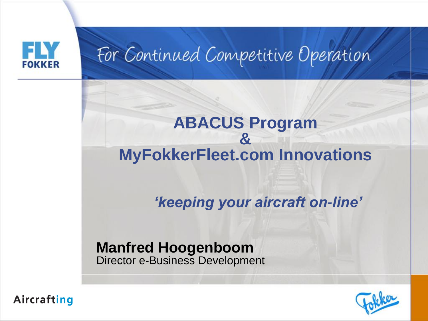

## For Continued Competitive Operation

### **& MyFokkerFleet.com Innovations**

**ABACUS Program**

*'keeping your aircraft on-line'*

### **Manfred Hoogenboom** Director e-Business Development



Aircrafting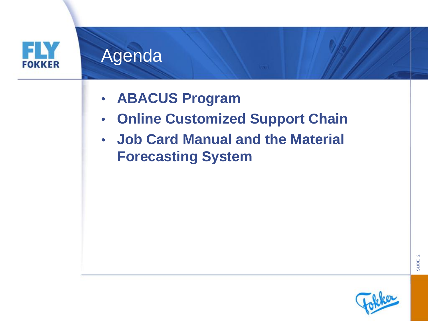

- **ABACUS Program**
- **Online Customized Support Chain**
- **Job Card Manual and the Material Forecasting System**

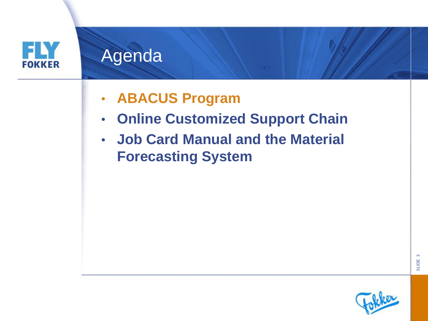

- **ABACUS Program**
- **Online Customized Support Chain**
- **Job Card Manual and the Material Forecasting System**

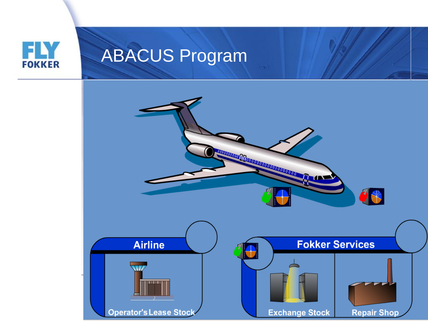

## ABACUS Program

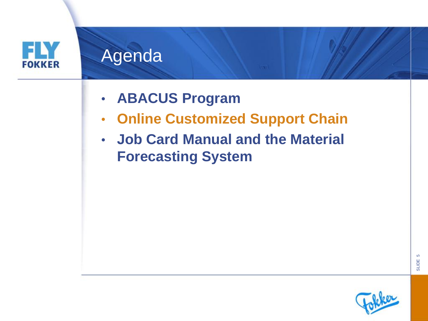

- **ABACUS Program**
- **Online Customized Support Chain**
- **Job Card Manual and the Material Forecasting System**

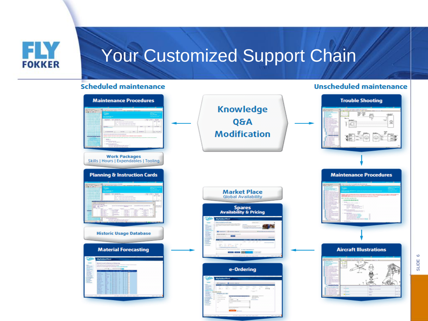

### Your Customized Support Chain

#### **Scheduled maintenance**

#### **Unscheduled maintenance**

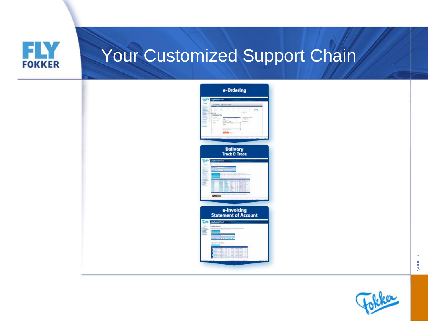

## Your Customized Support Chain

| <b>W</b> | e-Ordering<br><b>Myfekoffeel</b>                                 |
|----------|------------------------------------------------------------------|
| 134      | -- 0<br>$85-85$<br>$-1$<br>u<br><b>EUROPA</b><br>Annancisco Labo |
|          | <b>Delivery<br/>Track &amp; Trace</b>                            |
|          | <b>Netwhethod</b>                                                |
|          | e-Invoicing<br>Statement of Account                              |
| احليل    | Metekerhed<br><b>STATION</b><br>İ                                |

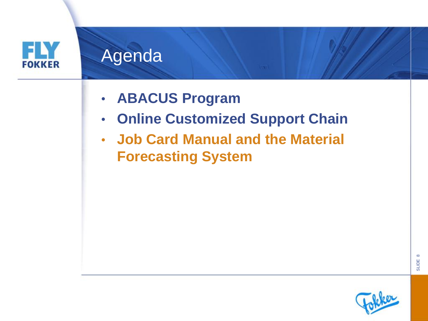

- **ABACUS Program**
- **Online Customized Support Chain**
- **Job Card Manual and the Material Forecasting System**

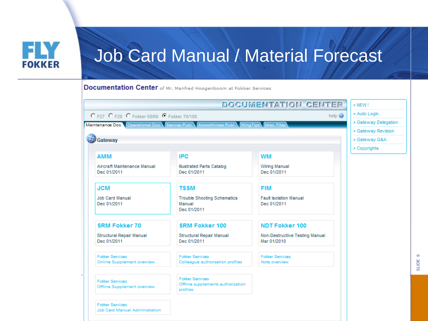

Documentation Center of Mr. Manfred Hoogenboom at Fokker Services

|                                                                     |                                                             | <b>DOCUMENTATION CENTER</b>                   | $>$ NEW !            |
|---------------------------------------------------------------------|-------------------------------------------------------------|-----------------------------------------------|----------------------|
| C F27 C F28 C Fokker 50/60 C Fokker 70/100                          |                                                             | help $\odot$                                  | > Auto Login         |
| Maintenance Doc. Operational Doc. Service Publ. Airworthiness Publ. |                                                             | WingTips Misc Files                           | > Gateway Delegation |
|                                                                     |                                                             |                                               | > Gateway Revision   |
| <b>B</b> Gateway                                                    |                                                             |                                               | > Gateway Q&A        |
|                                                                     |                                                             |                                               | > Copyrights         |
| <b>AMM</b>                                                          | <b>IPC</b>                                                  | WM                                            |                      |
| Aircraft Maintenance Manual                                         | <b>Illustrated Parts Catalog</b>                            | <b>Wiring Manual</b>                          |                      |
| Dec 01/2011                                                         | Dec 01/2011                                                 | Dec 01/2011                                   |                      |
| <b>JCM</b>                                                          | <b>TSSM</b>                                                 | <b>FIM</b>                                    |                      |
| <b>Job Card Manual</b>                                              | <b>Trouble Shooting Schematics</b>                          | <b>Fault Isolation Manual</b>                 |                      |
| Dec 01/2011                                                         | Manual<br>Dec 01/2011                                       | Dec 01/2011                                   |                      |
|                                                                     |                                                             |                                               |                      |
| <b>SRM Fokker 70</b>                                                | <b>SRM Fokker 100</b>                                       | <b>NDT Fokker 100</b>                         |                      |
| Structural Repair Manual<br>Dec 01/2011                             | Structural Repair Manual<br>Dec 01/2011                     | Non-Destructive Testing Manual<br>Mar 01/2010 |                      |
|                                                                     |                                                             |                                               |                      |
| <b>Fokker Services</b>                                              | <b>Fokker Services</b>                                      | <b>Fokker Services</b>                        |                      |
| Online Supplement overview                                          | Colleague authorisation profiles                            | Note overview                                 |                      |
|                                                                     |                                                             |                                               |                      |
| <b>Fokker Services</b>                                              | <b>Fokker Services</b><br>Offline supplements authorization |                                               |                      |
| Offline Supplement overview                                         | profiles                                                    |                                               |                      |
|                                                                     |                                                             |                                               |                      |
| <b>Fokker Services</b><br>Job Card Manual Administration            |                                                             |                                               |                      |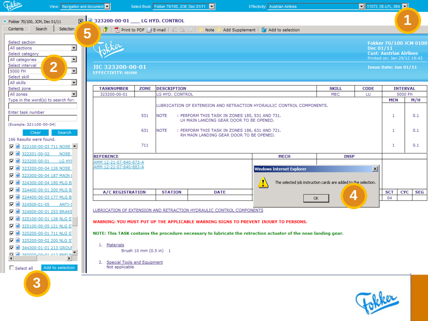□ 325100-00-01 126 NLG S

 $\Box$  0 325100-00-05 121 NLG S □ 325200-00-01 711 NLG S

□ 325200-00-02 200 NLG S

**Ø** 344300-01-01 213 GROU

3

 $\left| \cdot \right|$ 

 $\Box$  Select all

 $\Box$  at  $\Box$  as  $\Box$  and  $\Box$  and  $\Box$ 

 $\blacktriangleright$ 

Add to selection

**Effectivity:** Austrian Airlines



LUBRICATION OF EXTENSION AND RETRACTION HYDRAULIC CONTROL COMPONENTS

WARNING: YOU MUST PUT UP THE APPLICABLE WARNING SIGNS TO PREVENT INJURY TO PERSONS.

NOTE: This TASK contains the procedure necessary to lubricate the retraction actuator of the nose landing gear.

1. Materials

Brush 10 mm (0.5 in) 1

2. Special Tools and Equipment Not applicable

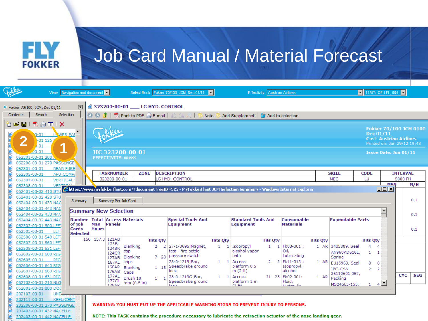ELY **FOKKER** 

### Job Card Manual / Material Forecast

|                                                                                                                                                                                                                                                                                                  |                                                                                                                                                                                                                                                                                                                                                              | View: Navigation and document |                          | Select Book: Fokker 70/100, JCM, Dec 01/11<br><b>Effectivity:</b> Austrian Airlines |                            |                                                                                                                                                                                                        |                 |                                    |                 | $\boxed{\blacksquare}$ 11573, OE-LFL, 004          |                 |                                               |                                          |                                  |                 |            |
|--------------------------------------------------------------------------------------------------------------------------------------------------------------------------------------------------------------------------------------------------------------------------------------------------|--------------------------------------------------------------------------------------------------------------------------------------------------------------------------------------------------------------------------------------------------------------------------------------------------------------------------------------------------------------|-------------------------------|--------------------------|-------------------------------------------------------------------------------------|----------------------------|--------------------------------------------------------------------------------------------------------------------------------------------------------------------------------------------------------|-----------------|------------------------------------|-----------------|----------------------------------------------------|-----------------|-----------------------------------------------|------------------------------------------|----------------------------------|-----------------|------------|
| 323200-00-01 __ LG HYD. CONTROL<br>図<br>Fokker 70/100, JCM, Dec 01/11                                                                                                                                                                                                                            |                                                                                                                                                                                                                                                                                                                                                              |                               |                          |                                                                                     |                            |                                                                                                                                                                                                        |                 |                                    |                 |                                                    |                 |                                               |                                          |                                  |                 |            |
| Selection<br><b>〇〇步   为Print to PDF 白E-mail   瓜乌叉  </b><br>Search<br>Contents<br>Add Supplement   6 Add to selection<br>Note                                                                                                                                                                     |                                                                                                                                                                                                                                                                                                                                                              |                               |                          |                                                                                     |                            |                                                                                                                                                                                                        |                 |                                    |                 |                                                    |                 |                                               |                                          |                                  |                 |            |
| OlelelO<br>4<br>Ò<br>Õ<br>Ò<br>062301-00-01                                                                                                                                                                                                                                                      | ð 2 H<br>因合同<br>$\boldsymbol{\times}$<br>Fokker 70/100 JCM 0100<br>Dec 01/11<br>WER PAP<br>$0 - 01$<br><b>Cust: Austrian Airlines</b><br>$-011126$<br>Printed on: Jan 29/12 19:43<br>Æ,<br>$J-01$<br>И<br>$-00 - 01$<br>JIC 323200-00-01<br>Issue Date: Jun 01/11<br>062201-00-01 200<br>EFFECTIVITY: 001999<br>062206-00-01 270 PASSENGE                    |                               |                          |                                                                                     |                            |                                                                                                                                                                                                        |                 |                                    |                 |                                                    |                 |                                               |                                          |                                  |                 |            |
| O                                                                                                                                                                                                                                                                                                | <b>REAR FUSE</b><br>APU COMP/<br>062305-00-01                                                                                                                                                                                                                                                                                                                |                               | <b>TASKNUMBER</b>        | <b>ZONE</b>                                                                         |                            | <b>DESCRIPTION</b>                                                                                                                                                                                     |                 |                                    |                 |                                                    |                 | <b>SKILL</b>                                  | <b>CODE</b>                              |                                  | <b>INTERVAL</b> |            |
| O                                                                                                                                                                                                                                                                                                | 062307-00-01<br>VERTICAL                                                                                                                                                                                                                                                                                                                                     |                               | 323200-00-01             |                                                                                     |                            | LG HYD. CONTROL                                                                                                                                                                                        |                 |                                    |                 |                                                    |                 | <b>MEC</b>                                    | LU                                       | <b>MEN</b>                       | 5000 FH         | M/H        |
| Ò<br>Ò                                                                                                                                                                                                                                                                                           | 062308-00-01<br><b>VER</b><br>062401-00-02 410 STU                                                                                                                                                                                                                                                                                                           |                               |                          |                                                                                     |                            |                                                                                                                                                                                                        |                 |                                    |                 |                                                    |                 |                                               |                                          | $\Box$ o $\overline{\mathbf{x}}$ |                 |            |
| https://www.myfokkerfleet.com/?documentTreeID=325 - MyFokkerFleet JCM Selection Summary - Windows Internet Explorer<br>đ<br>062401-00-02 420 STU<br>Summary Per Job Card<br>Summary<br>Ò<br>062404-00-01 433 NAC<br>062404-00-01 443 NAC<br><b>Summary New Selection</b><br>062404-00-02 433 NAC |                                                                                                                                                                                                                                                                                                                                                              |                               |                          |                                                                                     |                            |                                                                                                                                                                                                        |                 |                                    |                 |                                                    | 0.1<br>0.1      |                                               |                                          |                                  |                 |            |
| Ò<br>O                                                                                                                                                                                                                                                                                           | <b>Special Tools And</b><br><b>Standard Tools And</b><br><b>Number   Total   Access Materials</b><br><b>Consumable</b><br><b>Expendable Parts</b><br>062404-00-02 443 NAC<br>of job<br>Man<br><b>Panels</b><br><b>Equipment</b><br><b>Materials</b><br><b>Equipment</b><br>062502-00-01 500 LEFT<br>Cards<br><b>Hours</b><br>062505-00-01<br>LEF<br>Selected |                               |                          |                                                                                     |                            |                                                                                                                                                                                                        |                 |                                    |                 |                                                    | 0.1             |                                               |                                          |                                  |                 |            |
|                                                                                                                                                                                                                                                                                                  | 062506-00-01 540 LEFT<br>062507-00-01 560 LEFT                                                                                                                                                                                                                                                                                                               |                               | 166 157.3 121AB<br>123BL |                                                                                     | <b>Hits Oty</b>            |                                                                                                                                                                                                        | <b>Hits Qty</b> |                                    | <b>Hits Oty</b> |                                                    | <b>Hits Oty</b> |                                               | <b>Hits Qty</b>                          |                                  |                 |            |
| Ò                                                                                                                                                                                                                                                                                                | 062508-00-01 531 LEFT<br>062602-00-01 600 RIG                                                                                                                                                                                                                                                                                                                |                               |                          | Blanking<br>124BR<br>cap<br>124CR<br>Blanking<br>127AB                              | 2<br>$\overline{2}$<br>728 | 27-1-3695   Magnet,<br>test - fire bottle<br>pressure switch                                                                                                                                           | $1 \quad 1$     | Isopropyl<br>alcohol vapor<br>bath | $1 \quad 1$     | Fk03-001:<br>Oil,<br>Lubricating                   |                 | 1 AR 3405889, Seal<br>AN960KD516L,<br>Spring  | 4<br>$\overline{4}$<br>1<br>$\mathbf{1}$ |                                  |                 |            |
| Ò<br>$\bullet$                                                                                                                                                                                                                                                                                   | 062605-00-01<br><b>RIG</b><br>062606-00-01 640 RIG<br>062607-00-01 660 RIG                                                                                                                                                                                                                                                                                   |                               | 167AL<br>168AR           | caps<br>Blanking<br>176AB<br>Caps                                                   | $1 \quad 18$               | 28-0-1219 Bar,<br>Speedbrake ground<br>lock                                                                                                                                                            | $1 \quad 1$     | Access<br>platform 0.5<br>m(2 ft)  | $\mathbf{2}$    | 2 Fk11-013:<br>Isopropyl,<br>alcohol               |                 | 1 AR EU15969, Seal<br>IPC-CSN                 | 8<br>8<br>$\overline{2}$<br>2            |                                  |                 |            |
| Ò                                                                                                                                                                                                                                                                                                | 062608-00-01 631 RIG<br>062702-00-01 710 NLG                                                                                                                                                                                                                                                                                                                 |                               | 177AL<br>177CL           | Brush 10<br>mm(0.5 in)<br><b>178AD</b>                                              | 1.                         | 28-0-1219G Bar,<br>Speedbrake ground                                                                                                                                                                   | $1 \quad 1$     | Access<br>platform 1 m<br>in av    |                 | 21 23 Fk02-001:<br>Fluid.<br>racial and a straight |                 | 36110601 057,<br>1 AR Packing<br>MS24665-155, | 1                                        | $4$ $\Box$                       | <b>CYC</b>      | <b>SEG</b> |
| $\bullet$                                                                                                                                                                                                                                                                                        | 062801-00-01 800 DO0<br>202107-00-01<br>UND-                                                                                                                                                                                                                                                                                                                 |                               |                          |                                                                                     |                            |                                                                                                                                                                                                        |                 |                                    |                 |                                                    |                 |                                               |                                          |                                  |                 |            |
| Ò<br>Ó<br>Ò                                                                                                                                                                                                                                                                                      | 202111-00-01<br><b>KEEL/CENT</b><br>202206-00-01 270 PASSENGEI<br>202403-00-01 432 NACELLE<br>202403-00-01 442 NACELLE                                                                                                                                                                                                                                       |                               |                          |                                                                                     |                            | WARNING: YOU MUST PUT UP THE APPLICABLE WARNING SIGNS TO PREVENT INJURY TO PERSONS.<br>NOTE: This TASK contains the procedure necessary to lubricate the retraction actuator of the nose landing gear. |                 |                                    |                 |                                                    |                 |                                               |                                          |                                  |                 |            |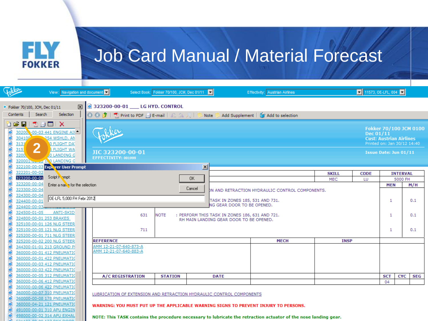

| <b>Tokker</b>                                                                                                                     | View: Navigation and document                                                                                                                        |                                 |     | Select Book: Fokker 70/100, JCM, Dec 01/11                           |                 |                                                | <b>Effectivity:</b> Austrian Airlines                                                                           |              | $\boxed{\blacksquare}$ 11573, OE-LFL, 004 $\boxed{\blacksquare}$ |                                                                                         |                 |            |
|-----------------------------------------------------------------------------------------------------------------------------------|------------------------------------------------------------------------------------------------------------------------------------------------------|---------------------------------|-----|----------------------------------------------------------------------|-----------------|------------------------------------------------|-----------------------------------------------------------------------------------------------------------------|--------------|------------------------------------------------------------------|-----------------------------------------------------------------------------------------|-----------------|------------|
| Fokker 70/100, JCM, Dec 01/11                                                                                                     | 図                                                                                                                                                    | 323200-00-01 __ LG HYD. CONTROL |     |                                                                      |                 |                                                |                                                                                                                 |              |                                                                  |                                                                                         |                 |            |
| Search<br>Selection<br><b>O ⊙ ♪   因 Print to PDF 白 E-mail   △ △ /   S Note</b><br>Contents<br>Add Supplement   T Add to selection |                                                                                                                                                      |                                 |     |                                                                      |                 |                                                |                                                                                                                 |              |                                                                  |                                                                                         |                 |            |
| ÒøØ<br>Ò<br>Ò<br>304106<br>3131                                                                                                   | 为台画   X<br>30200 -00-03 441 ENGINE AII<br>254 WSHLD, AN<br>O FLIGHT DAT                                                                              |                                 |     |                                                                      |                 |                                                |                                                                                                                 |              | Dec 01/11                                                        | Fokker 70/100 JCM 0100<br><b>Cust: Austrian Airlines</b><br>Printed on: Jan 30/12 14:40 |                 |            |
| $\bullet$ $\bullet$<br>3200<br>Ò                                                                                                  | $\overline{\mathbf{2}}$<br>315<br><b>5 FLIGHT WA</b><br>JIC 323200-00-01<br><b>JO LANDING G</b><br>EFFECTIVITY: 001999<br>320001-00 00 1 V LANDING G |                                 |     |                                                                      |                 |                                                |                                                                                                                 |              |                                                                  | Issue Date: Jun 01/11                                                                   |                 |            |
| Ò                                                                                                                                 | 322100-00-03 Exprorer User Prompt                                                                                                                    |                                 |     |                                                                      | $\vert x \vert$ |                                                |                                                                                                                 |              |                                                                  |                                                                                         |                 |            |
| Ò<br>322201-00-02                                                                                                                 | Script Fompt:                                                                                                                                        |                                 |     |                                                                      |                 |                                                |                                                                                                                 | <b>SKILL</b> | <b>CODE</b>                                                      |                                                                                         | <b>INTERVAL</b> |            |
| Ò<br>323200-00-01<br>ø                                                                                                            |                                                                                                                                                      |                                 |     |                                                                      | OK.             |                                                |                                                                                                                 | <b>MEC</b>   | LU                                                               | 5000 FH                                                                                 |                 |            |
| 323200-00-04<br>ø<br>323300-00-04                                                                                                 | Enter a name for the selection                                                                                                                       |                                 |     |                                                                      | Cancel          |                                                |                                                                                                                 |              |                                                                  | <b>MEN</b>                                                                              |                 | M/H        |
| đ<br>324300-00-04                                                                                                                 |                                                                                                                                                      |                                 |     |                                                                      |                 |                                                | DN AND RETRACTION HYDRAULIC CONTROL COMPONENTS.                                                                 |              |                                                                  |                                                                                         |                 |            |
| Ò<br>324400-00-01                                                                                                                 | OE-LFL 5,000 FH Febr 2012                                                                                                                            |                                 |     |                                                                      |                 | TASK IN ZONES 185, 531 AND 731.                |                                                                                                                 |              |                                                                  | 1                                                                                       |                 | 0.1        |
| ø<br>324400-00-03                                                                                                                 |                                                                                                                                                      |                                 |     |                                                                      |                 | NG GEAR DOOR TO BE OPENED.                     |                                                                                                                 |              |                                                                  |                                                                                         |                 |            |
| G<br>324500-01-05                                                                                                                 | ANTI-SKID                                                                                                                                            |                                 |     |                                                                      |                 |                                                |                                                                                                                 |              |                                                                  |                                                                                         |                 |            |
| ď                                                                                                                                 | 324800-00-01 253 BRAKES                                                                                                                              |                                 | 631 | <b>NOTE</b>                                                          |                 | : PERFORM THIS TASK IN ZONES 186, 631 AND 721. |                                                                                                                 |              |                                                                  | 1                                                                                       |                 | 0.1        |
| O                                                                                                                                 | 325100-00-01 126 NLG STEER                                                                                                                           |                                 |     |                                                                      |                 | RH MAIN LANDING GEAR DOOR TO BE OPENED.        |                                                                                                                 |              |                                                                  |                                                                                         |                 |            |
| ď                                                                                                                                 | 325100-00-05 121 NLG STEER                                                                                                                           |                                 | 711 |                                                                      |                 |                                                |                                                                                                                 |              |                                                                  |                                                                                         |                 |            |
| ď                                                                                                                                 | 325200-00-01 711 NLG STEER                                                                                                                           |                                 |     |                                                                      |                 |                                                |                                                                                                                 |              |                                                                  | 1                                                                                       |                 | 0.1        |
|                                                                                                                                   | 325200-00-02 200 NLG STEER                                                                                                                           | <b>REFERENCE</b>                |     |                                                                      |                 |                                                | <b>MECH</b>                                                                                                     | <b>INSP</b>  |                                                                  |                                                                                         |                 |            |
| ø<br>Ò                                                                                                                            | 344300-01-01 213 GROUND P                                                                                                                            | AMM 12-21-07-640-873-A          |     |                                                                      |                 |                                                |                                                                                                                 |              |                                                                  |                                                                                         |                 |            |
| ď                                                                                                                                 | 360000-00-01 412 PNEUMATIO                                                                                                                           | AMM 12-21-07-640-883-A          |     |                                                                      |                 |                                                |                                                                                                                 |              |                                                                  |                                                                                         |                 |            |
| ø                                                                                                                                 | 360000-00-01 422 PNEUMATIC                                                                                                                           |                                 |     |                                                                      |                 |                                                |                                                                                                                 |              |                                                                  |                                                                                         |                 |            |
| ď                                                                                                                                 | 360000-00-03 412 PNEUMATIO                                                                                                                           |                                 |     |                                                                      |                 |                                                |                                                                                                                 |              |                                                                  |                                                                                         |                 |            |
| ď                                                                                                                                 | 360000-00-03 422 PNEUMATIO                                                                                                                           |                                 |     |                                                                      |                 |                                                |                                                                                                                 |              |                                                                  |                                                                                         |                 |            |
| ø                                                                                                                                 | 360000-00-05 312 PNEUMATIO                                                                                                                           | <b>A/C REGISTRATION</b>         |     | <b>STATION</b>                                                       |                 | <b>DATE</b>                                    |                                                                                                                 |              |                                                                  | <b>SCT</b>                                                                              | <b>CYC</b>      | <b>SEG</b> |
| G                                                                                                                                 | 360000-00-06 412 PNEUMATIO                                                                                                                           |                                 |     |                                                                      |                 |                                                |                                                                                                                 |              |                                                                  | 04                                                                                      |                 |            |
| ď                                                                                                                                 | 360000-00-06 422 PNEUMATIO                                                                                                                           |                                 |     |                                                                      |                 |                                                |                                                                                                                 |              |                                                                  |                                                                                         |                 |            |
| ø                                                                                                                                 | 360000-00-07 310 PNEUMATIO                                                                                                                           |                                 |     |                                                                      |                 |                                                |                                                                                                                 |              |                                                                  |                                                                                         |                 |            |
| ø                                                                                                                                 | 360000-00-08 178 PNEUMATIC                                                                                                                           |                                 |     | LUBRICATION OF EXTENSION AND RETRACTION HYDRAULIC CONTROL COMPONENTS |                 |                                                |                                                                                                                 |              |                                                                  |                                                                                         |                 |            |
| đ                                                                                                                                 | 360000-04-21 121 PNEUMATIO                                                                                                                           |                                 |     |                                                                      |                 |                                                |                                                                                                                 |              |                                                                  |                                                                                         |                 |            |
|                                                                                                                                   | 491000-00-01 310 APU ENGIN                                                                                                                           |                                 |     |                                                                      |                 |                                                | WARNING: YOU MUST PUT UP THE APPLICABLE WARNING SIGNS TO PREVENT INJURY TO PERSONS.                             |              |                                                                  |                                                                                         |                 |            |
| Ø                                                                                                                                 | 498000-00-02 314 APU EXHAL                                                                                                                           |                                 |     |                                                                      |                 |                                                | NOTE: This TASK contains the procedure necessary to lubricate the retraction actuator of the nose landing gear. |              |                                                                  |                                                                                         |                 |            |
|                                                                                                                                   |                                                                                                                                                      |                                 |     |                                                                      |                 |                                                |                                                                                                                 |              |                                                                  |                                                                                         |                 |            |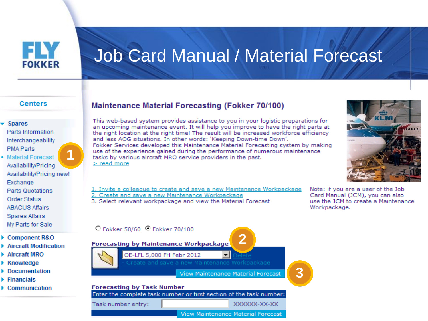

#### **Centers**

#### **Spares**

Parts Information Interchangeability **PMA Parts** 

- **+ Material Forecast** Availability/Pricing Availability/Pricing new! Exchange **Parts Quotations Order Status ABACUS Affairs**
- 
- **Spares Affairs**
- My Parts for Sale
- ▶ Component R&O
- ▶ Aircraft Modification
- $\blacktriangleright$  Aircraft MRO
- ▶ Knowledge
- Documentation
- $\blacktriangleright$  Financials
- $\blacktriangleright$  Communication

#### **Maintenance Material Forecasting (Fokker 70/100)**

This web-based system provides assistance to you in your logistic preparations for an upcoming maintenance event. It will help you improve to have the right parts at the right location at the right time! The result will be increased workforce efficiency and less AOG situations. In other words: 'Keeping Down-time Down'. Fokker Services developed this Maintenance Material Forecasting system by making use of the experience gained during the performance of numerous maintenance tasks by various aircraft MRO service providers in the past.  $>$  read more

1. Invite a colleague to create and save a new Maintenance Workpackage 2. Create and save a new Maintenance Workpackage 3. Select relevant workpackage and view the Material Forecast

Note: if you are a user of the Job Card Manual (JCM), you can also use the JCM to create a Maintenance Workpackage.



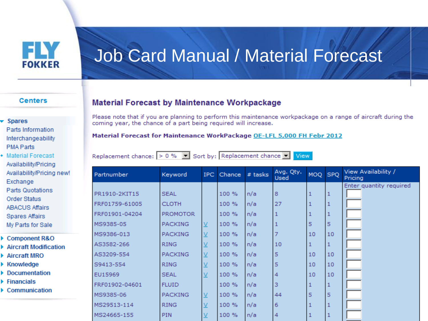

#### **Centers**

#### **Spares**

- Parts Information Interchangeability **PMA Parts**
- **Material Forecast** Availability/Pricing Availability/Pricing new! Exchange Parts Quotations **Order Status ABACUS Affairs**
- **Spares Affairs**
- My Parts for Sale
- ▶ Component R&O
- ▶ Aircraft Modification
- $\triangleright$  Aircraft MRO
- ▶ Knowledge
- Documentation
- $\blacktriangleright$  Financials
- $\triangleright$  Communication

### **Material Forecast by Maintenance Workpackage**

Please note that if you are planning to perform this maintenance workpackage on a range of aircraft during the coming year, the chance of a part being required will increase.

#### Material Forecast for Maintenance WorkPackage OE-LFL 5,000 FH Febr 2012

Replacement chance:  $> 0 %$   $\blacktriangleright$  Sort by: Replacement chance  $\blacktriangleright$ 

View

| Partnumber     | Keyword         | IPC.                     | Chance | $#$ tasks | Avg. Qty.<br>Used | MOQ SPQ |    | View Availability /<br>Pricing |
|----------------|-----------------|--------------------------|--------|-----------|-------------------|---------|----|--------------------------------|
|                |                 |                          |        |           |                   |         |    | Enter quantity required        |
| PR1910-2KIT15  | <b>SEAL</b>     |                          | 100 %  | n/a       | 8                 |         |    |                                |
| RF01759-61005  | <b>CLOTH</b>    |                          | 100 %  | n/a       | 27                |         |    |                                |
| RF01901-04204  | <b>PROMOTOR</b> |                          | 100 %  | n/a       |                   |         |    |                                |
| MS9385-05      | <b>PACKING</b>  | ⊻                        | 100 %  | n/a       |                   | 5       | 5  |                                |
| MS9386-013     | <b>PACKING</b>  | $\underline{\mathsf{v}}$ | 100 %  | n/a       |                   | 10      | 10 |                                |
| AS3582-266     | <b>RING</b>     | $\vee$                   | 100 %  | n/a       | 10                |         |    |                                |
| AS3209-554     | <b>PACKING</b>  | $\underline{\mathsf{v}}$ | 100 %  | n/a       | 5                 | 10      | 10 |                                |
| 39413-554      | <b>RING</b>     |                          | 100 %  | n/a       | 5                 | 10      | 10 |                                |
| EU15969        | <b>SEAL</b>     |                          | 100 %  | n/a       | 4                 | 10      | 10 |                                |
| FRF01902-04601 | <b>FLUID</b>    |                          | 100 %  | n/a       | 3                 |         |    |                                |
| MS9385-06      | <b>PACKING</b>  | $\underline{\mathsf{v}}$ | 100 %  | n/a       | 44                | 5       | 5  |                                |
| MS29513-114    | <b>RING</b>     |                          | 100 %  | n/a       | 6                 |         |    |                                |
| MS24665-155    | <b>PIN</b>      |                          | 100 %  | n/a       | 4                 |         |    |                                |
|                |                 |                          |        |           |                   |         |    |                                |